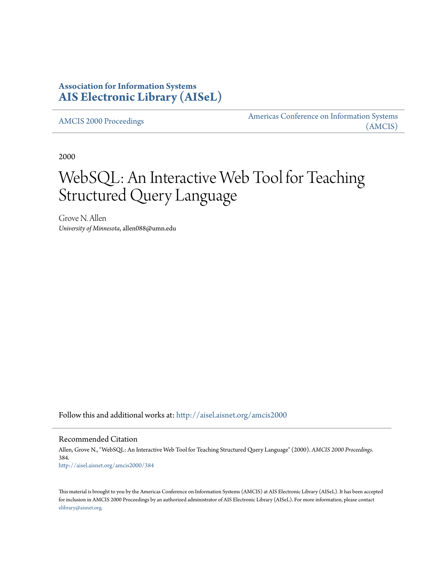# **Association for Information Systems [AIS Electronic Library \(AISeL\)](http://aisel.aisnet.org?utm_source=aisel.aisnet.org%2Famcis2000%2F384&utm_medium=PDF&utm_campaign=PDFCoverPages)**

[AMCIS 2000 Proceedings](http://aisel.aisnet.org/amcis2000?utm_source=aisel.aisnet.org%2Famcis2000%2F384&utm_medium=PDF&utm_campaign=PDFCoverPages)

[Americas Conference on Information Systems](http://aisel.aisnet.org/amcis?utm_source=aisel.aisnet.org%2Famcis2000%2F384&utm_medium=PDF&utm_campaign=PDFCoverPages) [\(AMCIS\)](http://aisel.aisnet.org/amcis?utm_source=aisel.aisnet.org%2Famcis2000%2F384&utm_medium=PDF&utm_campaign=PDFCoverPages)

2000

# WebSQL: An Interactive Web Tool for Teaching Structured Query Language

Grove N. Allen *University of Minnesota*, allen088@umn.edu

Follow this and additional works at: [http://aisel.aisnet.org/amcis2000](http://aisel.aisnet.org/amcis2000?utm_source=aisel.aisnet.org%2Famcis2000%2F384&utm_medium=PDF&utm_campaign=PDFCoverPages)

Recommended Citation

Allen, Grove N., "WebSQL: An Interactive Web Tool for Teaching Structured Query Language" (2000). *AMCIS 2000 Proceedings*. 384. [http://aisel.aisnet.org/amcis2000/384](http://aisel.aisnet.org/amcis2000/384?utm_source=aisel.aisnet.org%2Famcis2000%2F384&utm_medium=PDF&utm_campaign=PDFCoverPages)

This material is brought to you by the Americas Conference on Information Systems (AMCIS) at AIS Electronic Library (AISeL). It has been accepted for inclusion in AMCIS 2000 Proceedings by an authorized administrator of AIS Electronic Library (AISeL). For more information, please contact [elibrary@aisnet.org.](mailto:elibrary@aisnet.org%3E)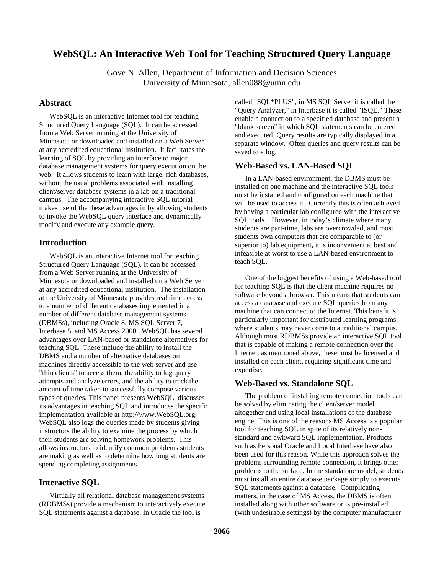# **WebSQL: An Interactive Web Tool for Teaching Structured Query Language**

Gove N. Allen, Department of Information and Decision Sciences University of Minnesota, allen088@umn.edu

## **Abstract**

WebSQL is an interactive Internet tool for teaching Structured Query Language (SQL). It can be accessed from a Web Server running at the University of Minnesota or downloaded and installed on a Web Server at any accredited educational institution. It facilitates the learning of SQL by providing an interface to major database management systems for query execution on the web. It allows students to learn with large, rich databases, without the usual problems associated with installing client/server database systems in a lab on a traditional campus. The accompanying interactive SQL tutorial makes use of the these advantages in by allowing students to invoke the WebSQL query interface and dynamically modify and execute any example query.

## **Introduction**

WebSQL is an interactive Internet tool for teaching Structured Query Language (SQL). It can be accessed from a Web Server running at the University of Minnesota or downloaded and installed on a Web Server at any accredited educational institution. The installation at the University of Minnesota provides real time access to a number of different databases implemented in a number of different database management systems (DBMSs), including Oracle 8, MS SQL Server 7, Interbase 5, and MS Access 2000. WebSQL has several advantages over LAN-based or standalone alternatives for teaching SQL. These include the ability to install the DBMS and a number of alternative databases on machines directly accessible to the web server and use "thin clients" to access them, the ability to log query attempts and analyze errors, and the ability to track the amount of time taken to successfully compose various types of queries. This paper presents WebSQL, discusses its advantages in teaching SQL and introduces the specific implementation available at http://www.WebSQL.org. WebSQL also logs the queries made by students giving instructors the ability to examine the process by which their students are solving homework problems. This allows instructors to identify common problems students are making as well as to determine how long students are spending completing assignments.

# **Interactive SQL**

Virtually all relational database management systems (RDBMSs) provide a mechanism to interactively execute SQL statements against a database. In Oracle the tool is

called "SQL\*PLUS", in MS SQL Server it is called the "Query Analyzer," in Interbase it is called "ISQL." These enable a connection to a specified database and present a "blank screen" in which SQL statements can be entered and executed. Query results are typically displayed in a separate window. Often queries and query results can be saved to a log.

## **Web-Based vs. LAN-Based SQL**

In a LAN-based environment, the DBMS must be installed on one machine and the interactive SQL tools must be installed and configured on each machine that will be used to access it. Currently this is often achieved by having a particular lab configured with the interactive SQL tools. However, in today's climate where many students are part-time, labs are overcrowded, and most students own computers that are comparable to (or superior to) lab equipment, it is inconvenient at best and infeasible at worst to use a LAN-based environment to teach SQL.

One of the biggest benefits of using a Web-based tool for teaching SQL is that the client machine requires no software beyond a browser. This means that students can access a database and execute SQL queries from any machine that can connect to the Internet. This benefit is particularly important for distributed learning programs, where students may never come to a traditional campus. Although most RDBMSs provide an interactive SQL tool that is capable of making a remote connection over the Internet, as mentioned above, these must be licensed and installed on each client, requiring significant time and expertise.

# **Web-Based vs. Standalone SQL**

The problem of installing remote connection tools can be solved by eliminating the client/server model altogether and using local installations of the database engine. This is one of the reasons MS Access is a popular tool for teaching SQL in spite of its relatively nonstandard and awkward SQL implementation. Products such as Personal Oracle and Local Interbase have also been used for this reason. While this approach solves the problems surrounding remote connection, it brings other problems to the surface. In the standalone model, students must install an entire database package simply to execute SQL statements against a database. Complicating matters, in the case of MS Access, the DBMS is often installed along with other software or is pre-installed (with undesirable settings) by the computer manufacturer.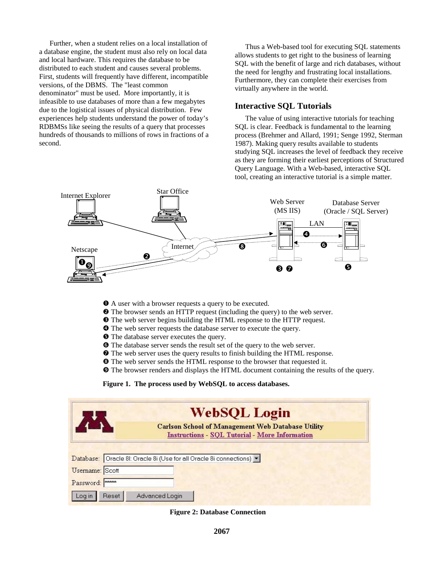Further, when a student relies on a local installation of a database engine, the student must also rely on local data and local hardware. This requires the database to be distributed to each student and causes several problems. First, students will frequently have different, incompatible versions, of the DBMS. The "least common denominator" must be used. More importantly, it is infeasible to use databases of more than a few megabytes due to the logistical issues of physical distribution. Few experiences help students understand the power of today's RDBMSs like seeing the results of a query that processes hundreds of thousands to millions of rows in fractions of a second.

Thus a Web-based tool for executing SQL statements allows students to get right to the business of learning SQL with the benefit of large and rich databases, without the need for lengthy and frustrating local installations. Furthermore, they can complete their exercises from virtually anywhere in the world.

#### **Interactive SQL Tutorials**

The value of using interactive tutorials for teaching SQL is clear. Feedback is fundamental to the learning process (Brehmer and Allard, 1991; Senge 1992, Sterman 1987). Making query results available to students studying SQL increases the level of feedback they receive as they are forming their earliest perceptions of Structured Query Language. With a Web-based, interactive SQL tool, creating an interactive tutorial is a simple matter.



- ! A user with a browser requests a query to be executed.
- $\bullet$  The browser sends an HTTP request (including the query) to the web server.
- $\bullet$  The web server begins building the HTML response to the HTTP request.
- $\bullet$  The web server requests the database server to execute the query.
- $\Theta$  The database server executes the query.
- $\bullet$  The database server sends the result set of the query to the web server.
- $\bullet$  The web server uses the query results to finish building the HTML response.
- $\bullet$  The web server sends the HTML response to the browser that requested it.
- ) The browser renders and displays the HTML document containing the results of the query.

**Figure 1. The process used by WebSQL to access databases.** 

|                 | <b>WebSQL Login</b>                                                                                               |
|-----------------|-------------------------------------------------------------------------------------------------------------------|
|                 | <b>Carlson School of Management Web Database Utility</b><br><b>Instructions - SQL Tutorial - More Information</b> |
|                 | Database: Oracle 8I: Oracle 8i (Use for all Oracle 8i connections) v                                              |
| Usemame: Scott  |                                                                                                                   |
| Password:       |                                                                                                                   |
| Reset<br>Log in | Advanced Login                                                                                                    |

**Figure 2: Database Connection**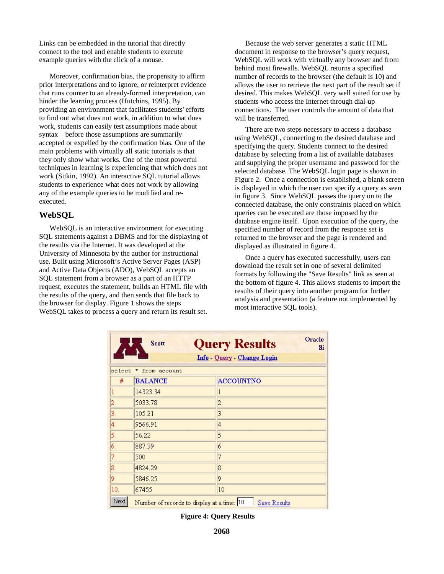Links can be embedded in the tutorial that directly connect to the tool and enable students to execute example queries with the click of a mouse.

Moreover, confirmation bias, the propensity to affirm prior interpretations and to ignore, or reinterpret evidence that runs counter to an already-formed interpretation, can hinder the learning process (Hutchins, 1995). By providing an environment that facilitates students' efforts to find out what does not work, in addition to what does work, students can easily test assumptions made about syntax—before those assumptions are summarily accepted or expelled by the confirmation bias. One of the main problems with virtually all static tutorials is that they only show what works. One of the most powerful techniques in learning is experiencing that which does not work (Sitkin, 1992). An interactive SQL tutorial allows students to experience what does not work by allowing any of the example queries to be modified and reexecuted.

#### **WebSQL**

WebSQL is an interactive environment for executing SQL statements against a DBMS and for the displaying of the results via the Internet. It was developed at the University of Minnesota by the author for instructional use. Built using Microsoft's Active Server Pages (ASP) and Active Data Objects (ADO), WebSQL accepts an SQL statement from a browser as a part of an HTTP request, executes the statement, builds an HTML file with the results of the query, and then sends that file back to the browser for display. Figure 1 shows the steps WebSQL takes to process a query and return its result set.

Because the web server generates a static HTML document in response to the browser's query request, WebSQL will work with virtually any browser and from behind most firewalls. WebSQL returns a specified number of records to the browser (the default is 10) and allows the user to retrieve the next part of the result set if desired. This makes WebSQL very well suited for use by students who access the Internet through dial-up connections. The user controls the amount of data that will be transferred.

There are two steps necessary to access a database using WebSQL, connecting to the desired database and specifying the query. Students connect to the desired database by selecting from a list of available databases and supplying the proper username and password for the selected database. The WebSQL login page is shown in Figure 2. Once a connection is established, a blank screen is displayed in which the user can specify a query as seen in figure 3. Since WebSQL passes the query on to the connected database, the only constraints placed on which queries can be executed are those imposed by the database engine itself. Upon execution of the query, the specified number of record from the response set is returned to the browser and the page is rendered and displayed as illustrated in figure 4.

Once a query has executed successfully, users can download the result set in one of several delimited formats by following the "Save Results" link as seen at the bottom of figure 4. This allows students to import the results of their query into another program for further analysis and presentation (a feature not implemented by most interactive SQL tools).

|                  | <b>Scott</b>                               | Oracle<br><b>Query Results</b><br>8i |
|------------------|--------------------------------------------|--------------------------------------|
|                  |                                            | Info - Query - Change Login          |
| select           | * from account                             |                                      |
| #                | <b>BALANCE</b>                             | <b>ACCOUNTNO</b>                     |
| 1.               | 14323.34                                   | 1                                    |
| $\overline{2}$ . | 5033.78                                    | $\overline{c}$                       |
| 3.               | 105.21                                     | 3                                    |
| $\overline{4}$ . | 9566.91                                    | $\overline{4}$                       |
| 5.               | 56.22                                      | 5                                    |
| 6.               | 887.39                                     | 6                                    |
| 7.               | 300                                        | 7                                    |
| 8.               | 4824.29                                    | 8                                    |
| 9.               | 5846.25                                    | 9                                    |
| 10.              | 67455                                      | 10                                   |
| Next             | Number of records to display at a time: 10 | Save Results                         |

**Figure 4: Query Results**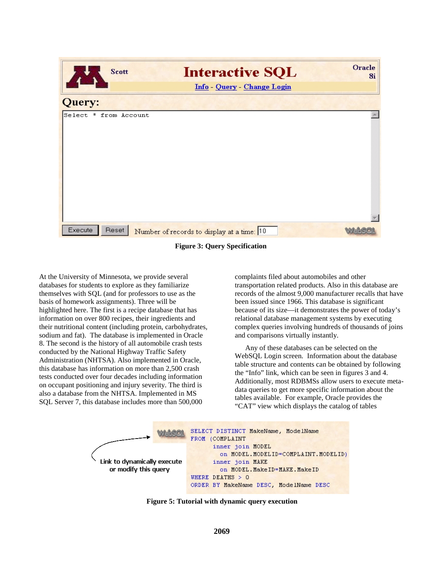| <b>Scott</b>          | <b>Interactive SQL</b>                     | Oracle<br>8i |
|-----------------------|--------------------------------------------|--------------|
|                       | Info - Query - Change Login                |              |
| Query:                |                                            |              |
| Select * from Account |                                            |              |
| Execute<br>Reset      | Number of records to display at a time: 10 |              |

**Figure 3: Query Specification** 

At the University of Minnesota, we provide several databases for students to explore as they familiarize themselves with SQL (and for professors to use as the basis of homework assignments). Three will be highlighted here. The first is a recipe database that has information on over 800 recipes, their ingredients and their nutritional content (including protein, carbohydrates, sodium and fat). The database is implemented in Oracle 8. The second is the history of all automobile crash tests conducted by the National Highway Traffic Safety Administration (NHTSA). Also implemented in Oracle, this database has information on more than 2,500 crash tests conducted over four decades including information on occupant positioning and injury severity. The third is also a database from the NHTSA. Implemented in MS SQL Server 7, this database includes more than 500,000

complaints filed about automobiles and other transportation related products. Also in this database are records of the almost 9,000 manufacturer recalls that have been issued since 1966. This database is significant because of its size—it demonstrates the power of today's relational database management systems by executing complex queries involving hundreds of thousands of joins and comparisons virtually instantly.

Any of these databases can be selected on the WebSQL Login screen. Information about the database table structure and contents can be obtained by following the "Info" link, which can be seen in figures 3 and 4. Additionally, most RDBMSs allow users to execute metadata queries to get more specific information about the tables available. For example, Oracle provides the "CAT" view which displays the catalog of tables



**Figure 5: Tutorial with dynamic query execution**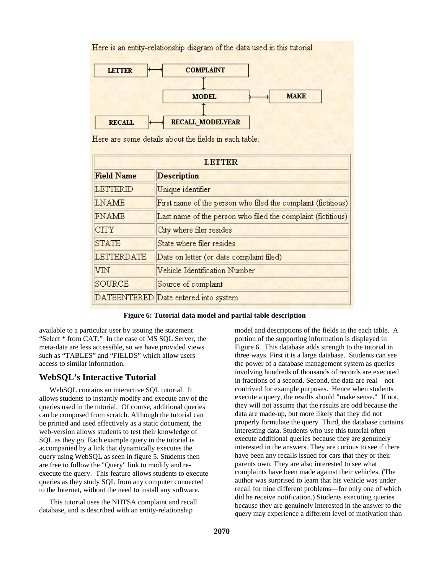|                   | Here is an entity-relationship diagram of the data used in this tutorial: |
|-------------------|---------------------------------------------------------------------------|
| <b>LETTER</b>     | <b>COMPLAINT</b>                                                          |
|                   |                                                                           |
|                   | <b>MAKE</b><br><b>MODEL</b>                                               |
|                   |                                                                           |
| <b>RECALL</b>     | RECALL MODELYEAR                                                          |
|                   | Here are some details about the fields in each table:                     |
|                   |                                                                           |
|                   | <b>LETTER</b>                                                             |
| <b>Field Name</b> | <b>Description</b>                                                        |
| LETTERID          | Unique identifier                                                         |
| <b>LNAME</b>      | First name of the person who filed the complaint (fictitious)             |
| <b>FNAME</b>      | Last name of the person who filed the complaint (fictitious)              |
| <b>CITY</b>       | City where filer resides                                                  |
| <b>STATE</b>      | State where filer resides                                                 |
| LETTERDATE        | Date on letter (or date complaint filed)                                  |
| VIN               | Vehicle Identification Number                                             |
| SOURCE            | Source of complaint                                                       |
|                   | DATEENTERED Date entered into system                                      |

**Figure 6: Tutorial data model and partial table description** 

available to a particular user by issuing the statement "Select \* from CAT." In the case of MS SQL Server, the meta-data are less accessible, so we have provided views such as "TABLES" and "FIELDS" which allow users access to similar information.

## **WebSQL's Interactive Tutorial**

WebSQL contains an interactive SQL tutorial. It allows students to instantly modify and execute any of the queries used in the tutorial. Of course, additional queries can be composed from scratch. Although the tutorial can be printed and used effectively as a static document, the web-version allows students to test their knowledge of SQL as they go. Each example query in the tutorial is accompanied by a link that dynamically executes the query using WebSQL as seen in figure 5. Students then are free to follow the "Query" link to modify and reexecute the query. This feature allows students to execute queries as they study SQL from any computer connected to the Internet, without the need to install any software.

This tutorial uses the NHTSA complaint and recall database, and is described with an entity-relationship

model and descriptions of the fields in the each table. A portion of the supporting information is displayed in Figure 6. This database adds strength to the tutorial in three ways. First it is a large database. Students can see the power of a database management system as queries involving hundreds of thousands of records are executed in fractions of a second. Second, the data are real—not contrived for example purposes. Hence when students execute a query, the results should "make sense." If not, they will not assume that the results are odd because the data are made-up, but more likely that they did not properly formulate the query. Third, the database contains interesting data. Students who use this tutorial often execute additional queries because they are genuinely interested in the answers. They are curious to see if there have been any recalls issued for cars that they or their parents own. They are also interested to see what complaints have been made against their vehicles. (The author was surprised to learn that his vehicle was under recall for nine different problems—for only one of which did he receive notification.) Students executing queries because they are genuinely interested in the answer to the query may experience a different level of motivation than